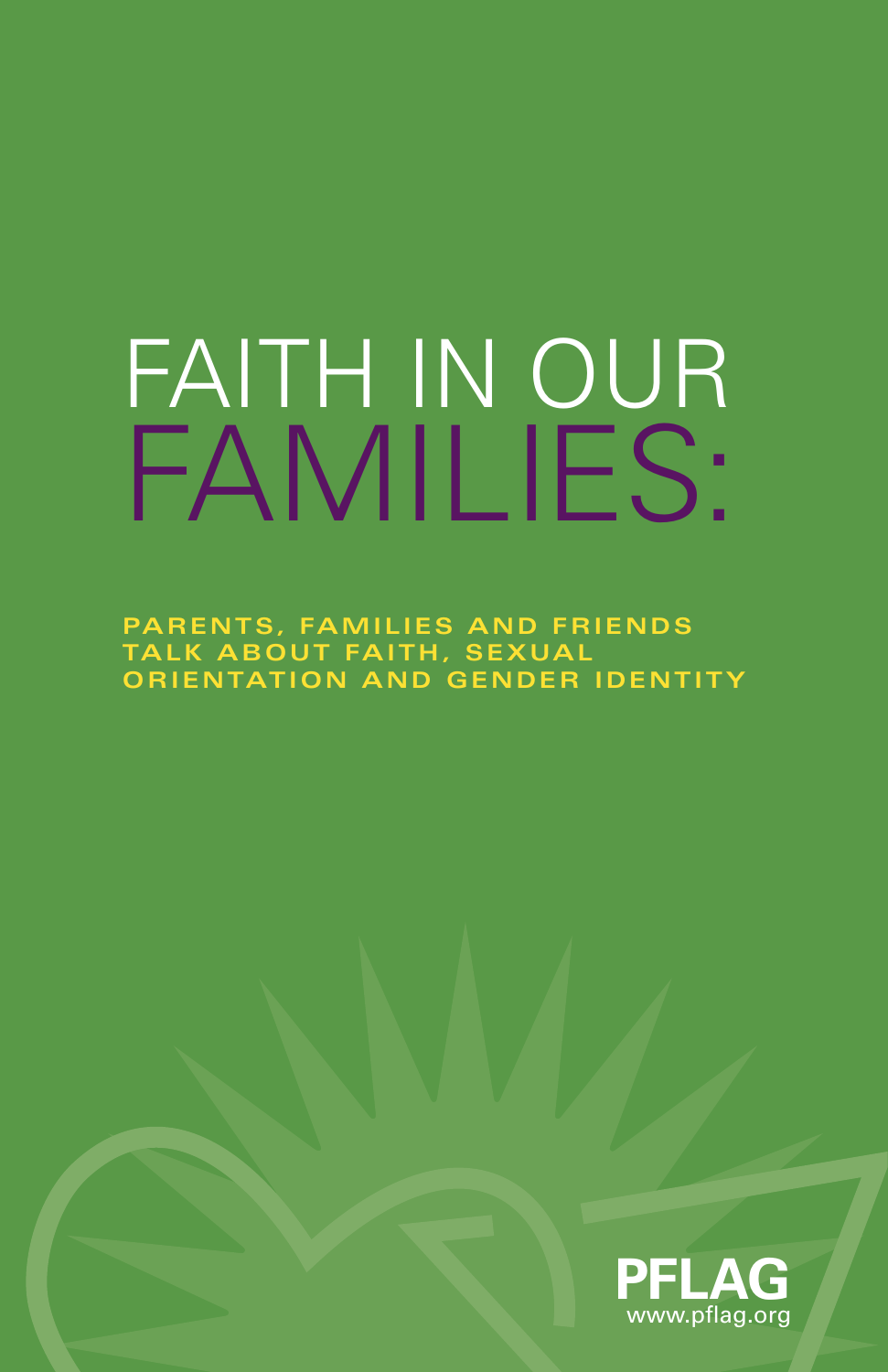# FAITH IN OUR FAMILIES:

**PARENTS, FAMILIES AND FRIENDS TALK ABOUT FAITH, SEXUAL ORIENTATION AND GENDER IDENTITY**

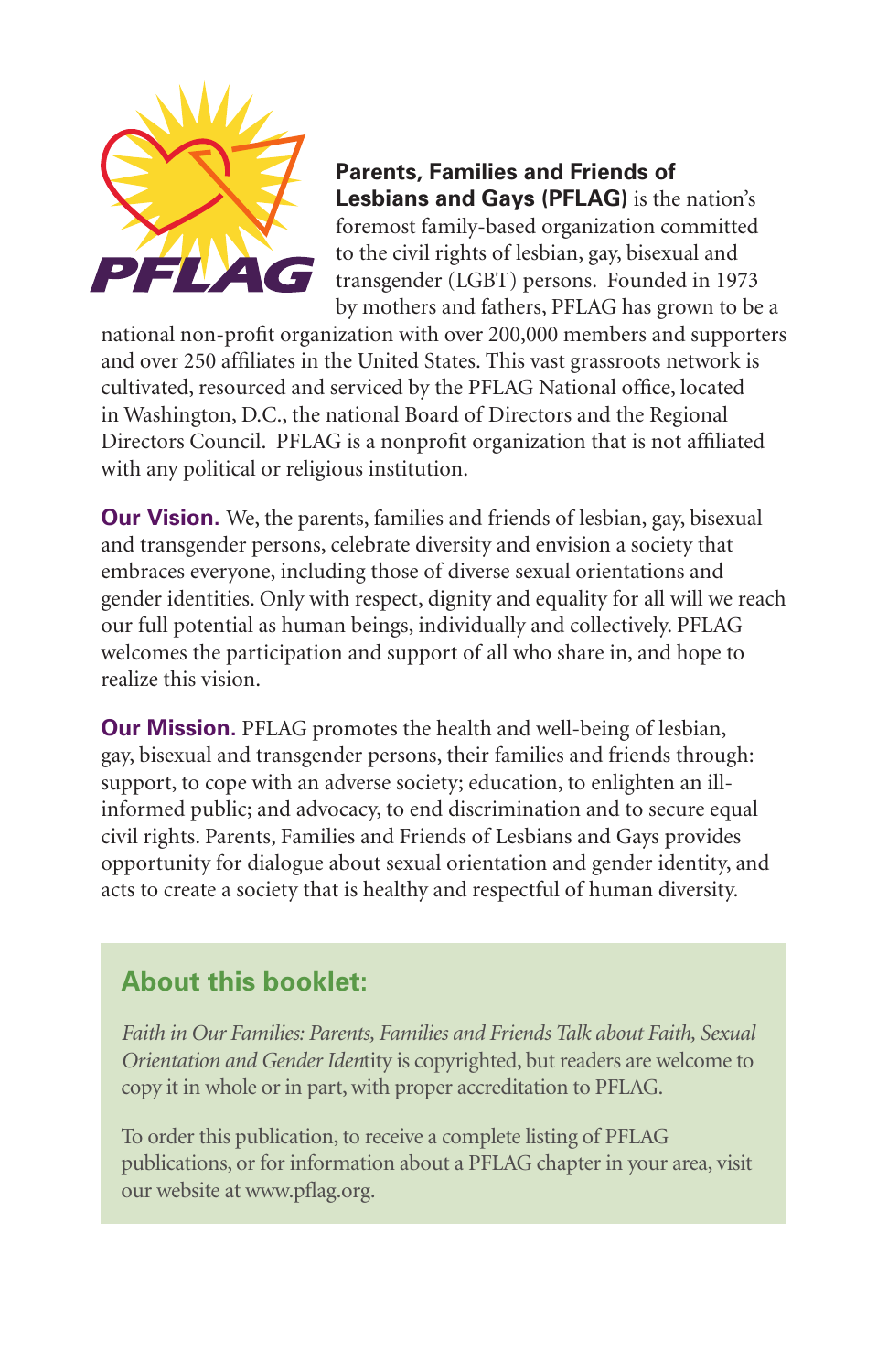

**Parents, Families and Friends of Lesbians and Gays (PFLAG)** is the nation's foremost family-based organization committed to the civil rights of lesbian, gay, bisexual and transgender (LGBT) persons. Founded in 1973 by mothers and fathers, PFLAG has grown to be a

national non-profit organization with over 200,000 members and supporters and over 250 affiliates in the United States. This vast grassroots network is cultivated, resourced and serviced by the PFLAG National office, located in Washington, D.C., the national Board of Directors and the Regional Directors Council. PFLAG is a nonprofit organization that is not affiliated with any political or religious institution.

**Our Vision.** We, the parents, families and friends of lesbian, gay, bisexual and transgender persons, celebrate diversity and envision a society that embraces everyone, including those of diverse sexual orientations and gender identities. Only with respect, dignity and equality for all will we reach our full potential as human beings, individually and collectively. PFLAG welcomes the participation and support of all who share in, and hope to realize this vision.

**Our Mission.** PFLAG promotes the health and well-being of lesbian, gay, bisexual and transgender persons, their families and friends through: support, to cope with an adverse society; education, to enlighten an illinformed public; and advocacy, to end discrimination and to secure equal civil rights. Parents, Families and Friends of Lesbians and Gays provides opportunity for dialogue about sexual orientation and gender identity, and acts to create a society that is healthy and respectful of human diversity.

#### **About this booklet:**

*Faith in Our Families: Parents, Families and Friends Talk about Faith, Sexual Orientation and Gender Iden*tity is copyrighted, but readers are welcome to copy it in whole or in part, with proper accreditation to PFLAG.

To order this publication, to receive a complete listing of PFLAG publications, or for information about a PFLAG chapter in your area, visit our website at www.pflag.org.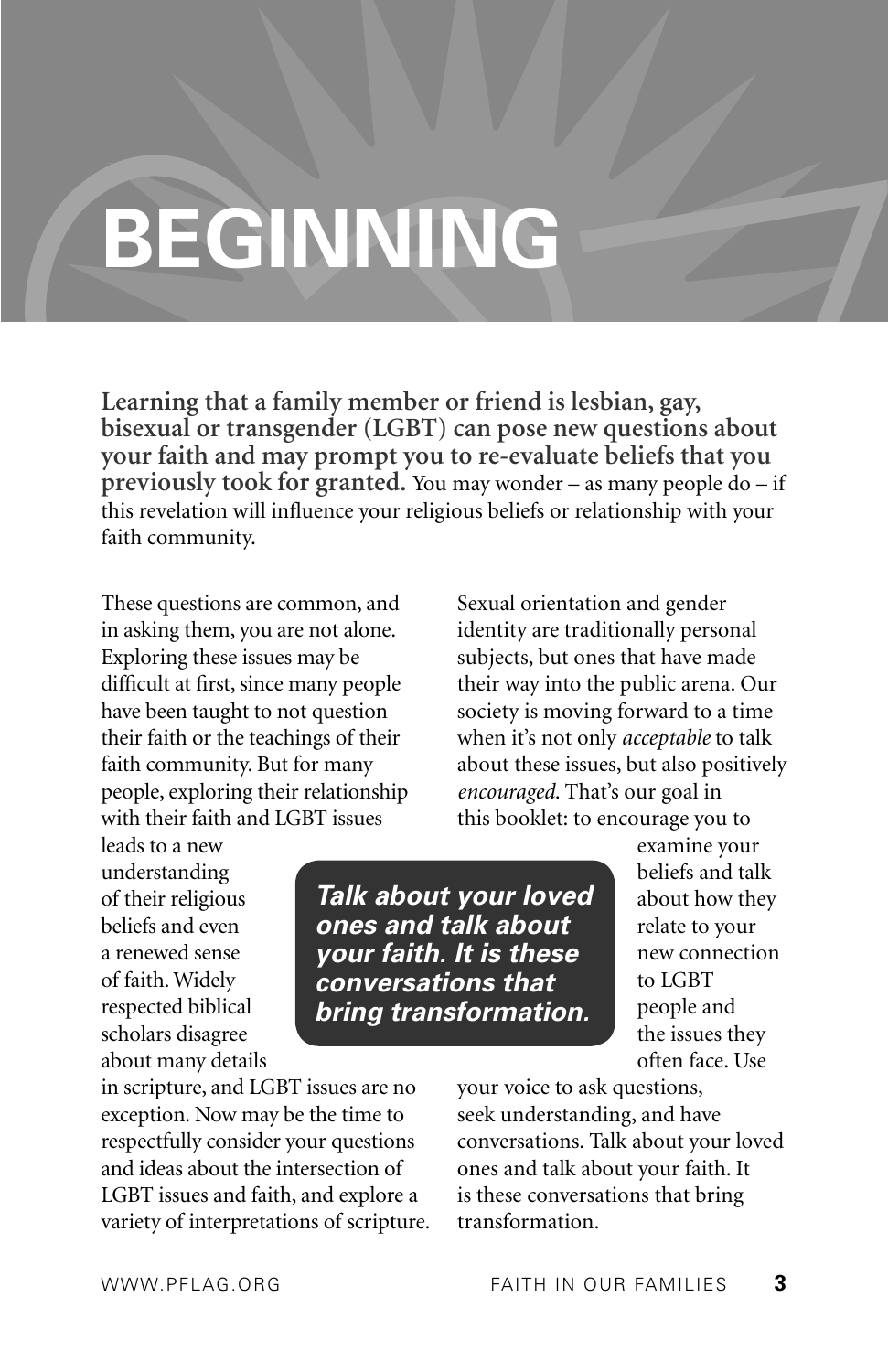## **Beginning**

**Learning that a family member or friend is lesbian, gay, bisexual or transgender (LGBT) can pose new questions about your faith and may prompt you to re-evaluate beliefs that you previously took for granted.** You may wonder – as many people do – if this revelation will influence your religious beliefs or relationship with your faith community.

These questions are common, and in asking them, you are not alone. Exploring these issues may be difficult at first, since many people have been taught to not question their faith or the teachings of their faith community. But for many people, exploring their relationship with their faith and LGBT issues

Sexual orientation and gender identity are traditionally personal subjects, but ones that have made their way into the public arena. Our society is moving forward to a time when it's not only *acceptable* to talk about these issues, but also positively *encouraged*. That's our goal in this booklet: to encourage you to

leads to a new understanding of their religious beliefs and even a renewed sense of faith. Widely respected biblical scholars disagree about many details

in scripture, and LGBT issues are no exception. Now may be the time to respectfully consider your questions and ideas about the intersection of LGBT issues and faith, and explore a variety of interpretations of scripture.

*Talk about your loved ones and talk about your faith. It is these conversations that bring transformation.*

examine your beliefs and talk about how they relate to your new connection to LGBT people and the issues they often face. Use

your voice to ask questions, seek understanding, and have conversations. Talk about your loved ones and talk about your faith. It is these conversations that bring transformation.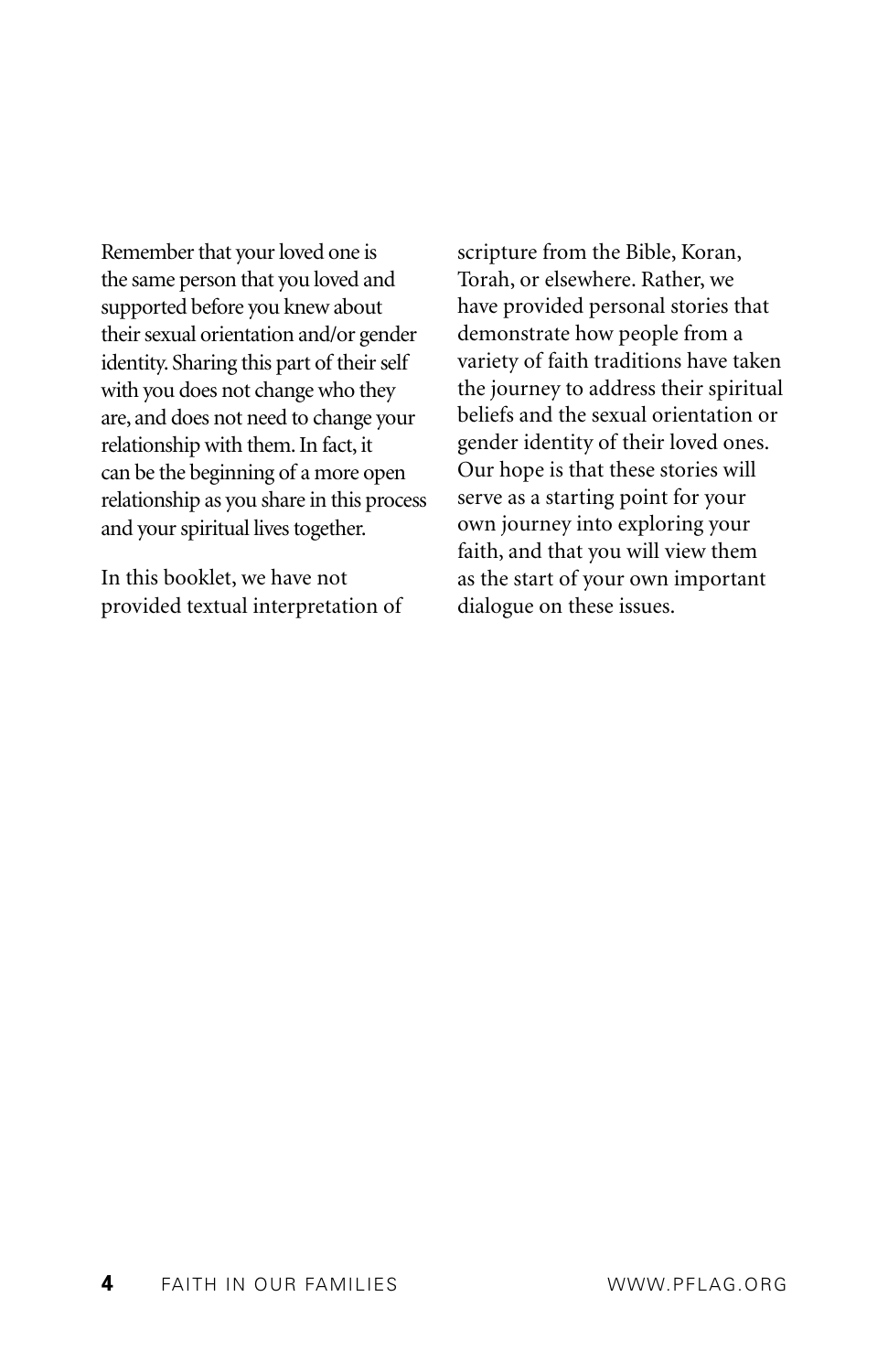Remember that your loved one is the same person that you loved and supported before you knew about their sexual orientation and/or gender identity. Sharing this part of their self with you does not change who they are, and does not need to change your relationship with them. In fact, it can be the beginning of a more open relationship as you share in this process and your spiritual lives together.

In this booklet, we have not provided textual interpretation of scripture from the Bible, Koran, Torah, or elsewhere. Rather, we have provided personal stories that demonstrate how people from a variety of faith traditions have taken the journey to address their spiritual beliefs and the sexual orientation or gender identity of their loved ones. Our hope is that these stories will serve as a starting point for your own journey into exploring your faith, and that you will view them as the start of your own important dialogue on these issues.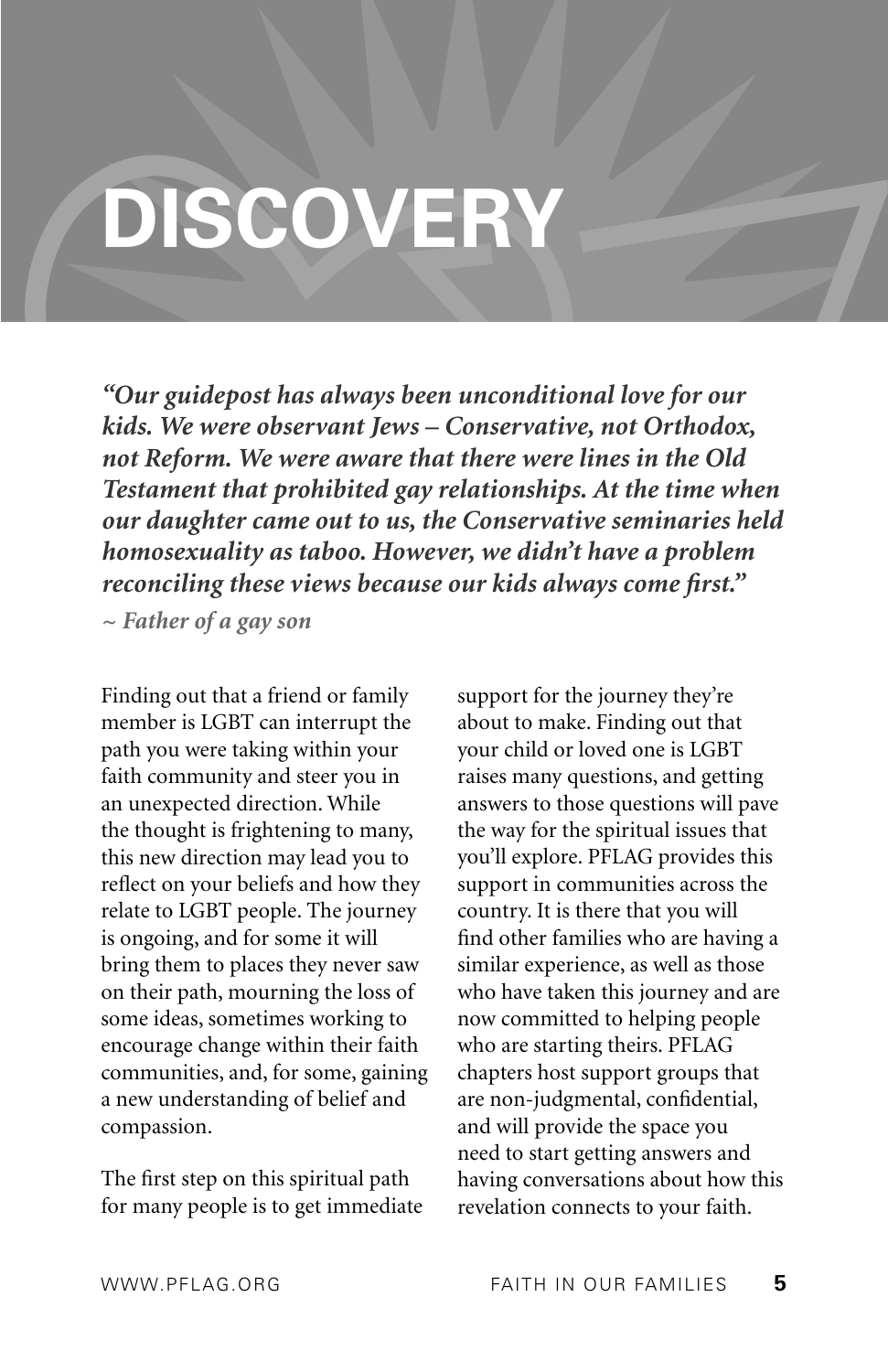### **DISCOVERY**

*"Our guidepost has always been unconditional love for our kids. We were observant Jews – Conservative, not Orthodox, not Reform. We were aware that there were lines in the Old Testament that prohibited gay relationships. At the time when our daughter came out to us, the Conservative seminaries held homosexuality as taboo. However, we didn't have a problem reconciling these views because our kids always come first."*

*~ Father of a gay son*

Finding out that a friend or family member is LGBT can interrupt the path you were taking within your faith community and steer you in an unexpected direction. While the thought is frightening to many, this new direction may lead you to reflect on your beliefs and how they relate to LGBT people. The journey is ongoing, and for some it will bring them to places they never saw on their path, mourning the loss of some ideas, sometimes working to encourage change within their faith communities, and, for some, gaining a new understanding of belief and compassion.

The first step on this spiritual path for many people is to get immediate support for the journey they're about to make. Finding out that your child or loved one is LGBT raises many questions, and getting answers to those questions will pave the way for the spiritual issues that you'll explore. PFLAG provides this support in communities across the country. It is there that you will find other families who are having a similar experience, as well as those who have taken this journey and are now committed to helping people who are starting theirs. PFLAG chapters host support groups that are non-judgmental, confidential, and will provide the space you need to start getting answers and having conversations about how this revelation connects to your faith.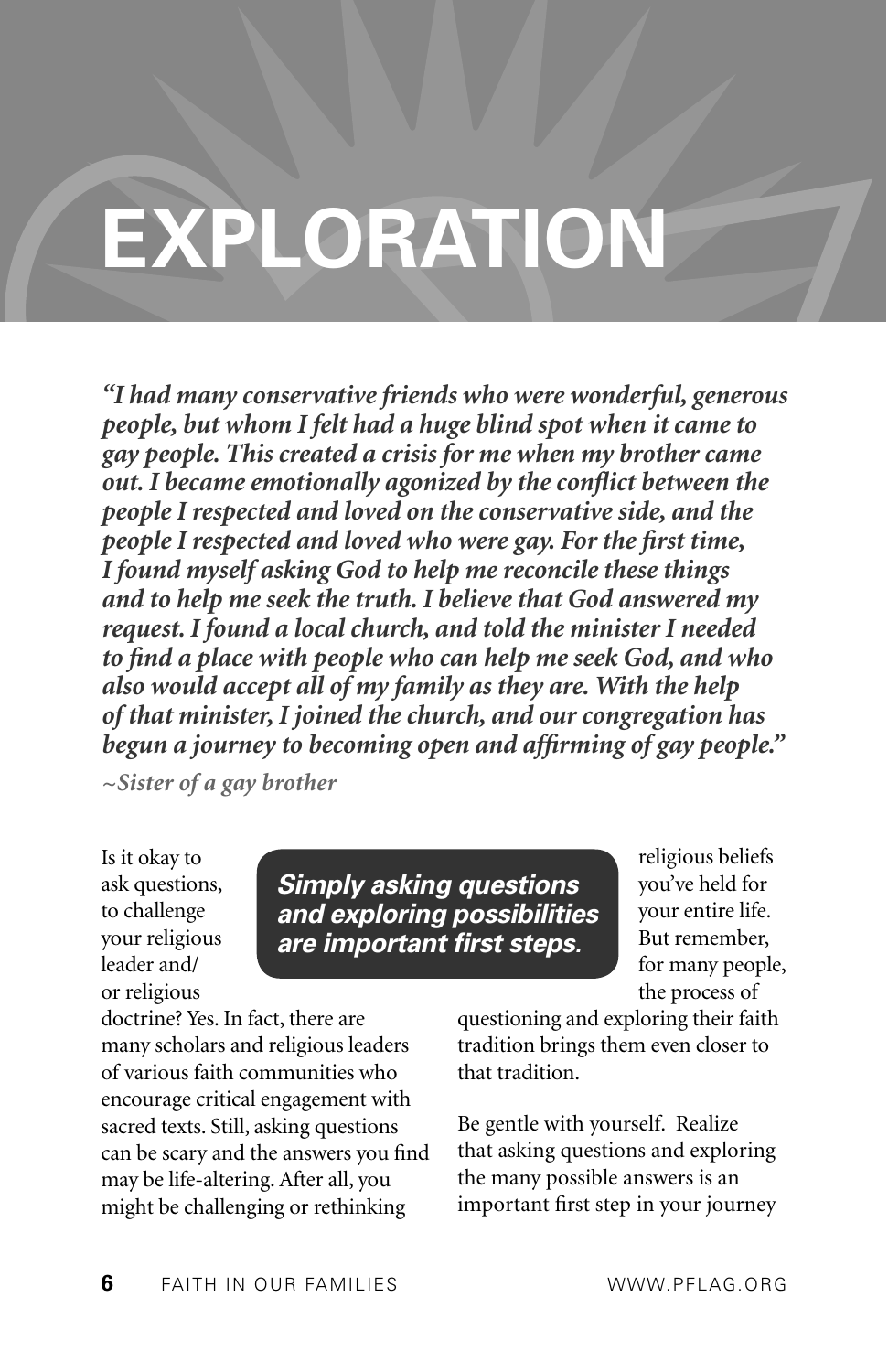### **EXPLORATION**

*"I had many conservative friends who were wonderful, generous people, but whom I felt had a huge blind spot when it came to gay people. This created a crisis for me when my brother came out. I became emotionally agonized by the conflict between the people I respected and loved on the conservative side, and the people I respected and loved who were gay. For the first time, I found myself asking God to help me reconcile these things and to help me seek the truth. I believe that God answered my request. I found a local church, and told the minister I needed to find a place with people who can help me seek God, and who also would accept all of my family as they are. With the help of that minister, I joined the church, and our congregation has begun a journey to becoming open and affirming of gay people."*

*~Sister of a gay brother*

Is it okay to ask questions, to challenge your religious leader and/ or religious

*Simply asking questions and exploring possibilities are important first steps.*

religious beliefs you've held for your entire life. But remember, for many people, the process of

doctrine? Yes. In fact, there are many scholars and religious leaders of various faith communities who encourage critical engagement with sacred texts. Still, asking questions can be scary and the answers you find may be life-altering. After all, you might be challenging or rethinking

questioning and exploring their faith tradition brings them even closer to that tradition.

Be gentle with yourself. Realize that asking questions and exploring the many possible answers is an important first step in your journey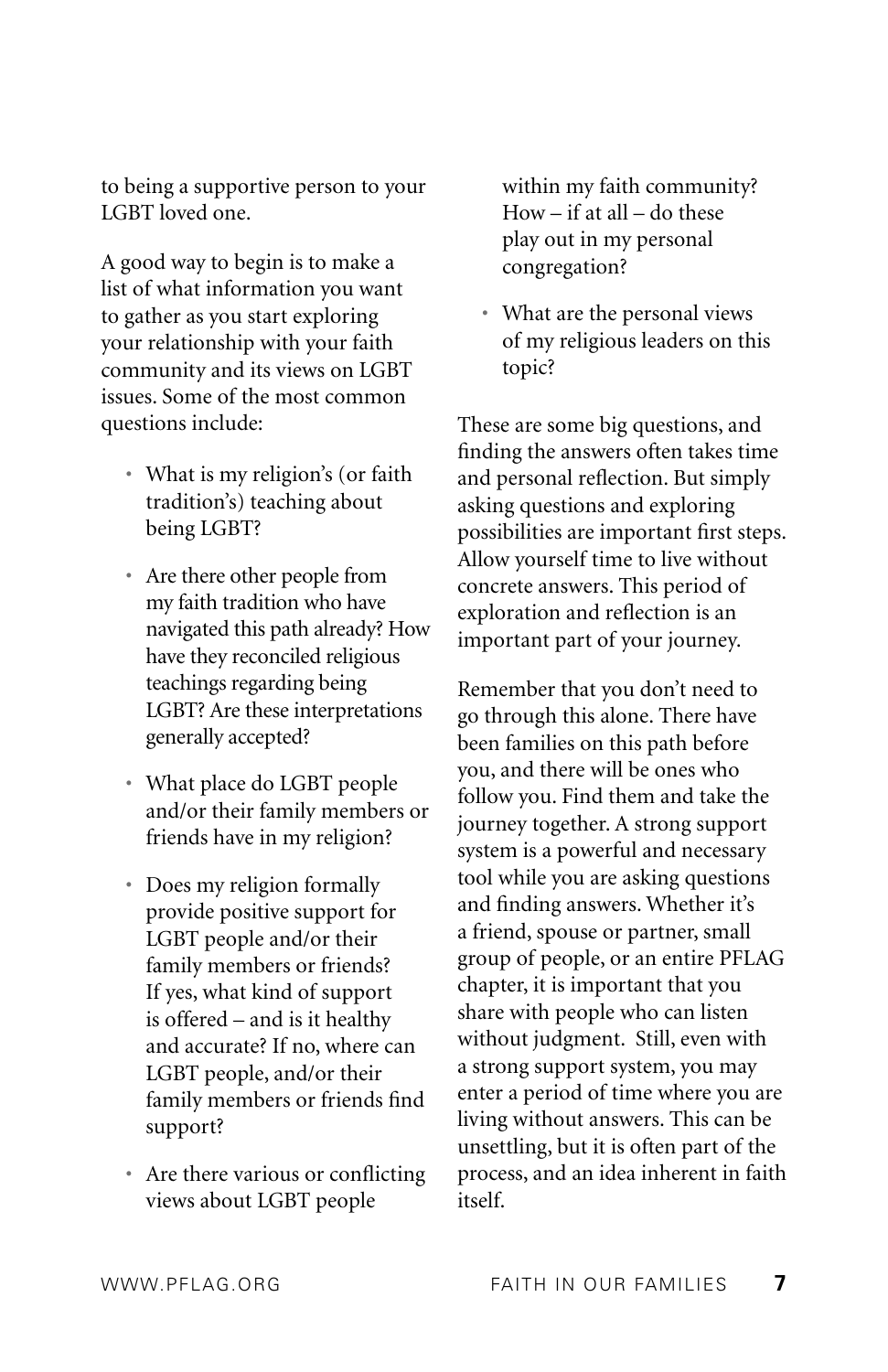to being a supportive person to your LGBT loved one.

A good way to begin is to make a list of what information you want to gather as you start exploring your relationship with your faith community and its views on LGBT issues. Some of the most common questions include:

- What is my religion's (or faith tradition's) teaching about being LGBT?
- Are there other people from my faith tradition who have navigated this path already? How have they reconciled religious teachings regarding being LGBT? Are these interpretations generally accepted?
- What place do LGBT people and/or their family members or friends have in my religion?
- Does my religion formally provide positive support for LGBT people and/or their family members or friends? If yes, what kind of support is offered – and is it healthy and accurate? If no, where can LGBT people, and/or their family members or friends find support?
- Are there various or conflicting views about LGBT people

within my faith community? How – if at all – do these play out in my personal congregation?

• What are the personal views of my religious leaders on this topic?

These are some big questions, and finding the answers often takes time and personal reflection. But simply asking questions and exploring possibilities are important first steps. Allow yourself time to live without concrete answers. This period of exploration and reflection is an important part of your journey.

Remember that you don't need to go through this alone. There have been families on this path before you, and there will be ones who follow you. Find them and take the journey together. A strong support system is a powerful and necessary tool while you are asking questions and finding answers. Whether it's a friend, spouse or partner, small group of people, or an entire PFLAG chapter, it is important that you share with people who can listen without judgment. Still, even with a strong support system, you may enter a period of time where you are living without answers. This can be unsettling, but it is often part of the process, and an idea inherent in faith itself.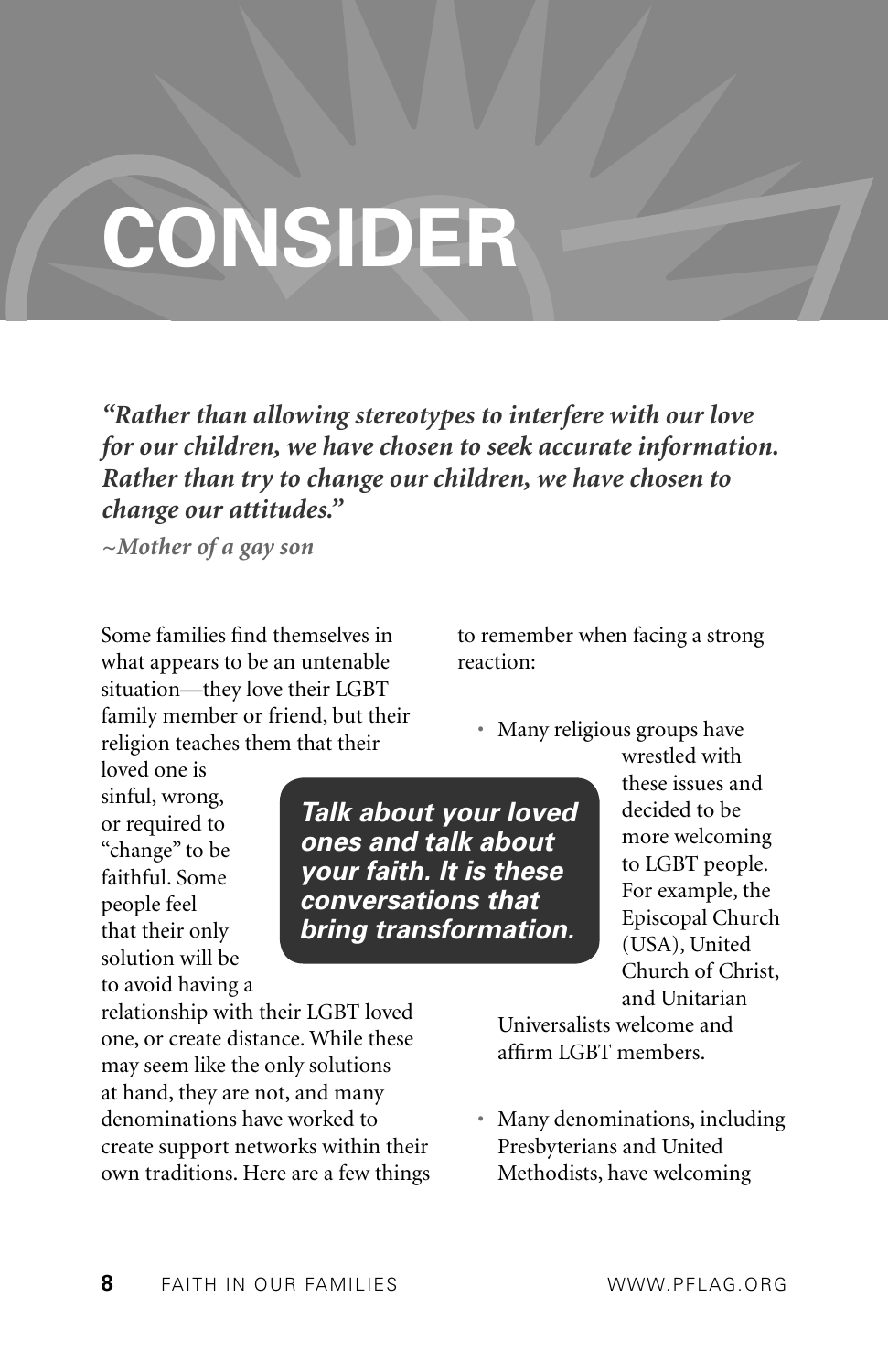# **CONSIDER**

*"Rather than allowing stereotypes to interfere with our love for our children, we have chosen to seek accurate information. Rather than try to change our children, we have chosen to change our attitudes."*

reaction:

*~Mother of a gay son*

Some families find themselves in what appears to be an untenable situation—they love their LGBT family member or friend, but their religion teaches them that their

loved one is sinful, wrong, or required to "change" to be faithful. Some people feel that their only solution will be to avoid having a

*Talk about your loved ones and talk about your faith. It is these conversations that bring transformation.*

wrestled with these issues and decided to be more welcoming to LGBT people. For example, the Episcopal Church (USA), United Church of Christ, and Unitarian

relationship with their LGBT loved one, or create distance. While these may seem like the only solutions at hand, they are not, and many denominations have worked to create support networks within their own traditions. Here are a few things

Universalists welcome and affirm LGBT members.

to remember when facing a strong

• Many religious groups have

• Many denominations, including Presbyterians and United Methodists, have welcoming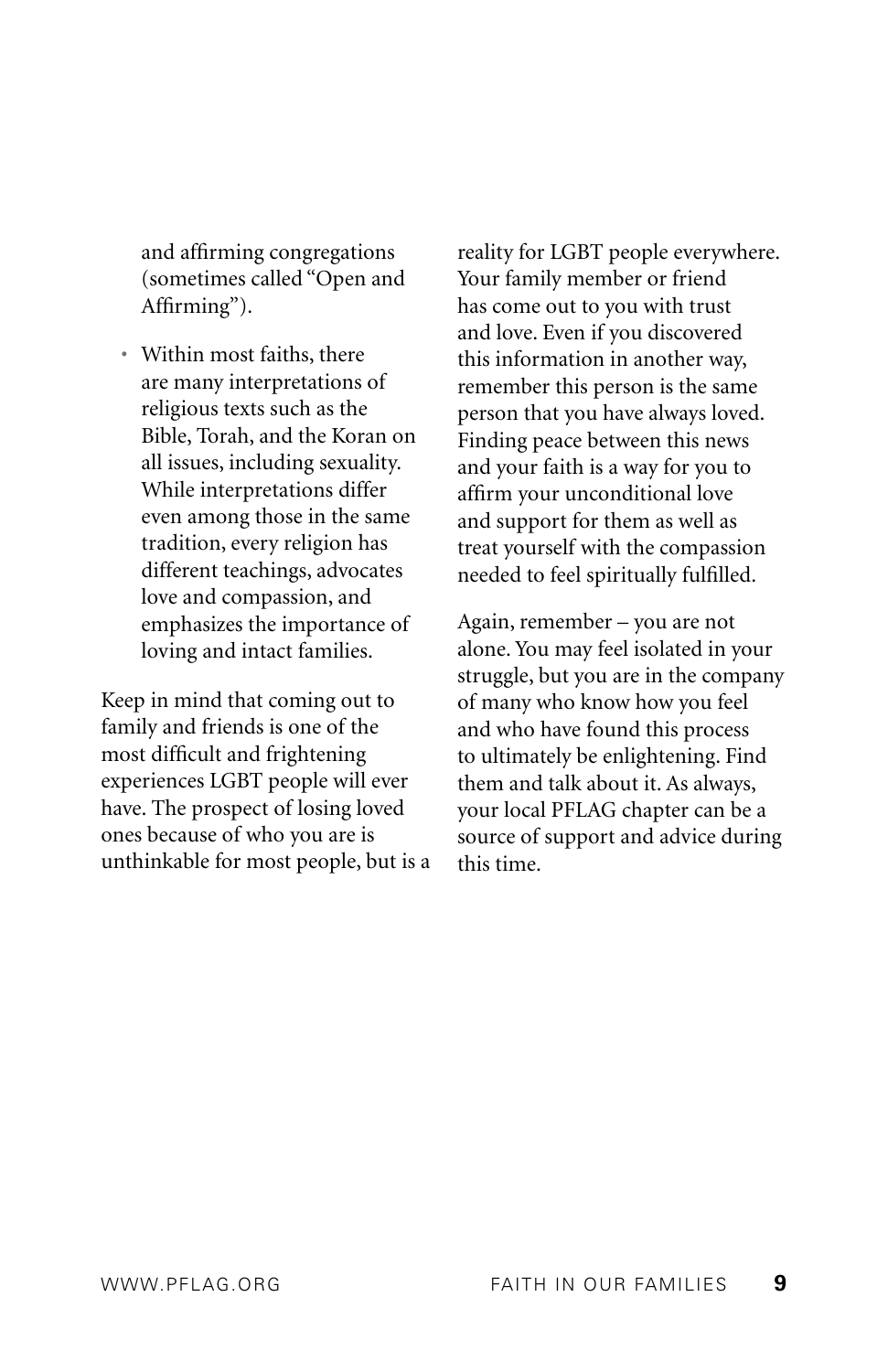and affirming congregations (sometimes called "Open and Affirming").

• Within most faiths, there are many interpretations of religious texts such as the Bible, Torah, and the Koran on all issues, including sexuality. While interpretations differ even among those in the same tradition, every religion has different teachings, advocates love and compassion, and emphasizes the importance of loving and intact families.

Keep in mind that coming out to family and friends is one of the most difficult and frightening experiences LGBT people will ever have. The prospect of losing loved ones because of who you are is unthinkable for most people, but is a reality for LGBT people everywhere. Your family member or friend has come out to you with trust and love. Even if you discovered this information in another way, remember this person is the same person that you have always loved. Finding peace between this news and your faith is a way for you to affirm your unconditional love and support for them as well as treat yourself with the compassion needed to feel spiritually fulfilled.

Again, remember – you are not alone. You may feel isolated in your struggle, but you are in the company of many who know how you feel and who have found this process to ultimately be enlightening. Find them and talk about it. As always, your local PFLAG chapter can be a source of support and advice during this time.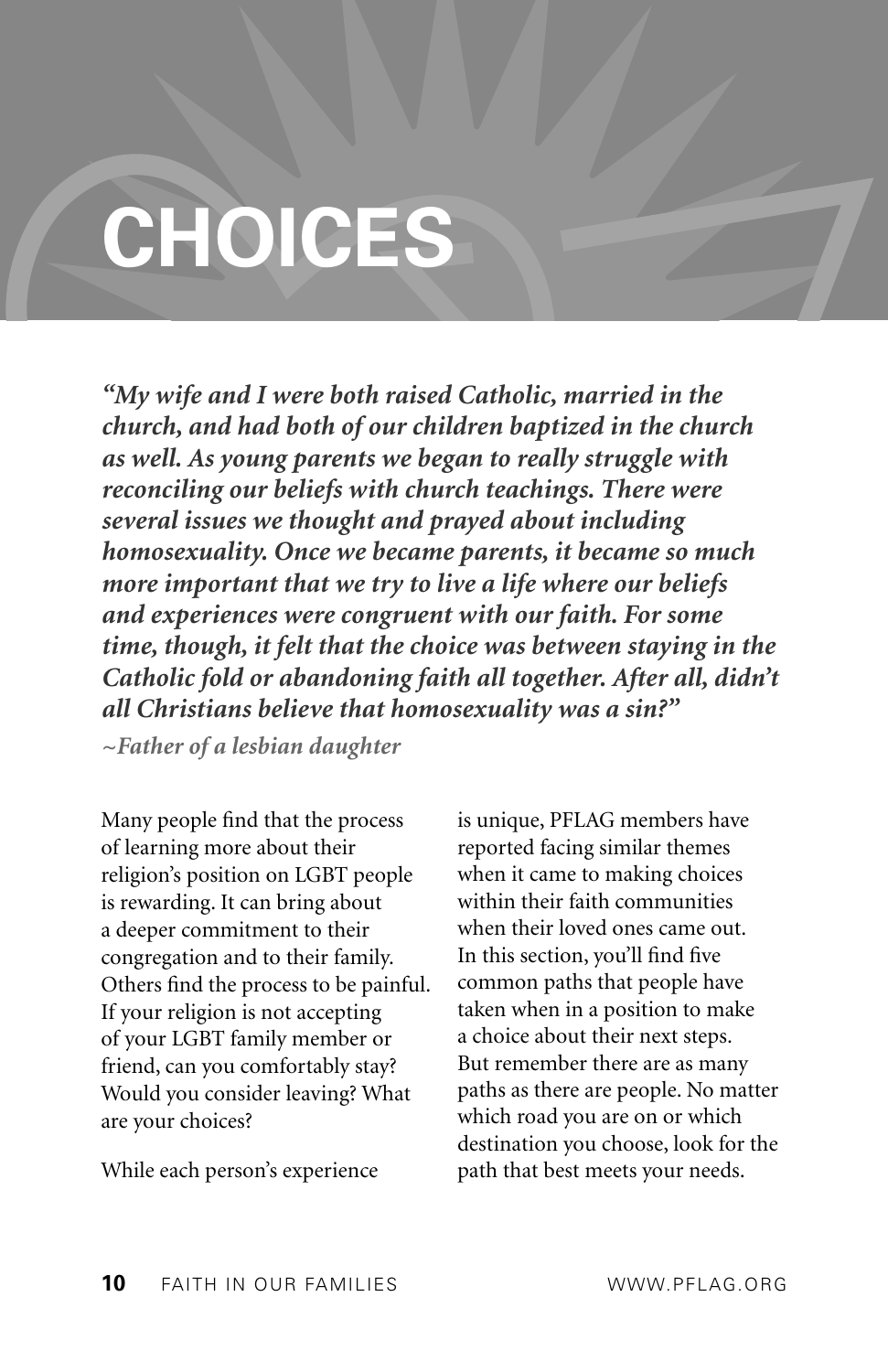## **CHOICES**

*"My wife and I were both raised Catholic, married in the church, and had both of our children baptized in the church as well. As young parents we began to really struggle with reconciling our beliefs with church teachings. There were several issues we thought and prayed about including homosexuality. Once we became parents, it became so much more important that we try to live a life where our beliefs and experiences were congruent with our faith. For some time, though, it felt that the choice was between staying in the Catholic fold or abandoning faith all together. After all, didn't all Christians believe that homosexuality was a sin?"*

*~Father of a lesbian daughter*

Many people find that the process of learning more about their religion's position on LGBT people is rewarding. It can bring about a deeper commitment to their congregation and to their family. Others find the process to be painful. If your religion is not accepting of your LGBT family member or friend, can you comfortably stay? Would you consider leaving? What are your choices?

While each person's experience

is unique, PFLAG members have reported facing similar themes when it came to making choices within their faith communities when their loved ones came out. In this section, you'll find five common paths that people have taken when in a position to make a choice about their next steps. But remember there are as many paths as there are people. No matter which road you are on or which destination you choose, look for the path that best meets your needs.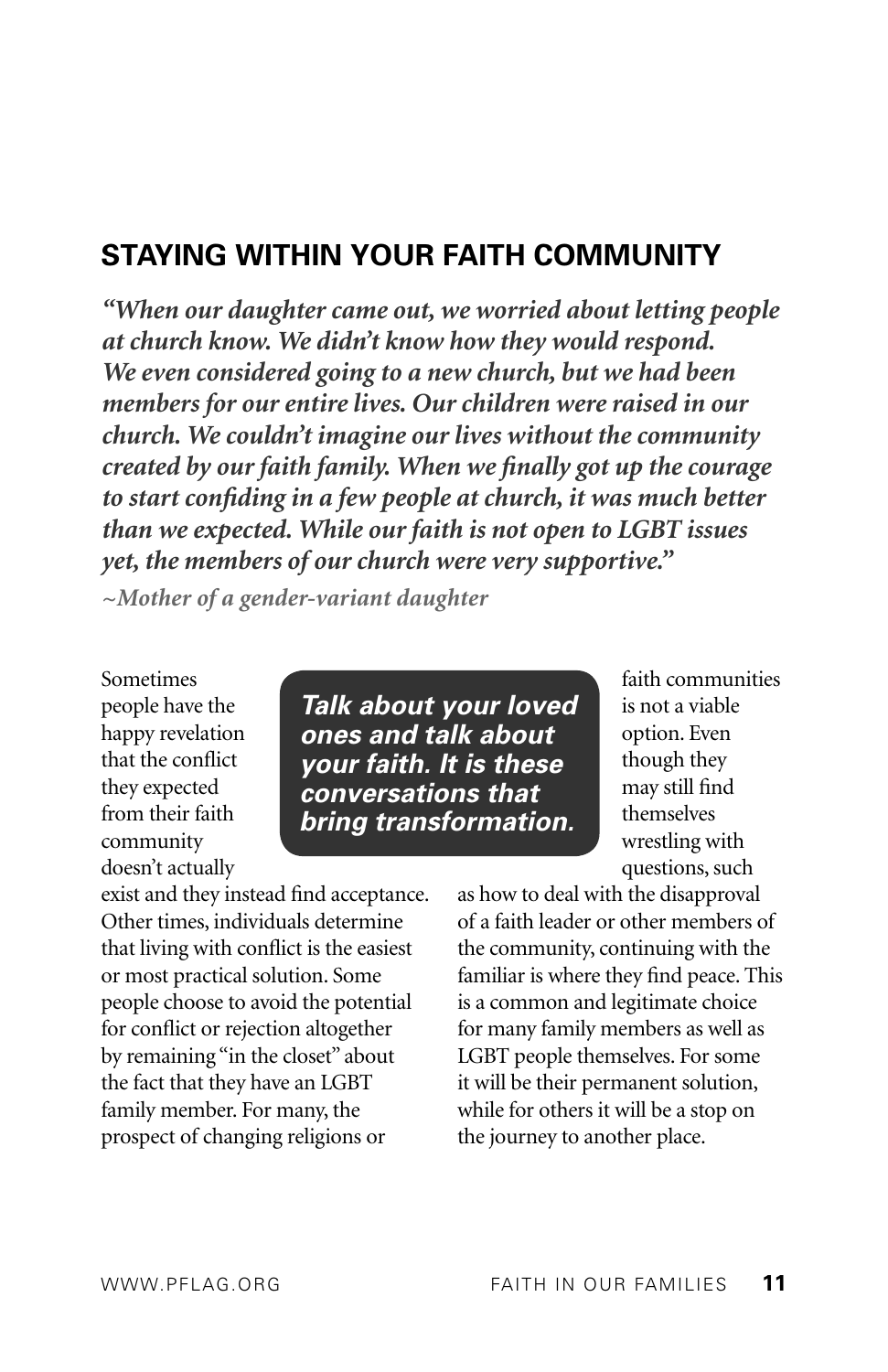#### **STAYING WIThIN Your FAITh CommuNITY**

*"When our daughter came out, we worried about letting people at church know. We didn't know how they would respond. We even considered going to a new church, but we had been members for our entire lives. Our children were raised in our church. We couldn't imagine our lives without the community created by our faith family. When we finally got up the courage to start confiding in a few people at church, it was much better than we expected. While our faith is not open to LGBT issues yet, the members of our church were very supportive."*

*~Mother of a gender-variant daughter*

Sometimes people have the happy revelation that the conflict they expected from their faith community doesn't actually

exist and they instead find acceptance. Other times, individuals determine that living with conflict is the easiest or most practical solution. Some people choose to avoid the potential for conflict or rejection altogether by remaining "in the closet" about the fact that they have an LGBT family member. For many, the prospect of changing religions or

*Talk about your loved ones and talk about your faith. It is these conversations that bring transformation.*

faith communities is not a viable option. Even though they may still find themselves wrestling with questions, such

as how to deal with the disapproval of a faith leader or other members of the community, continuing with the familiar is where they find peace. This is a common and legitimate choice for many family members as well as LGBT people themselves. For some it will be their permanent solution, while for others it will be a stop on the journey to another place.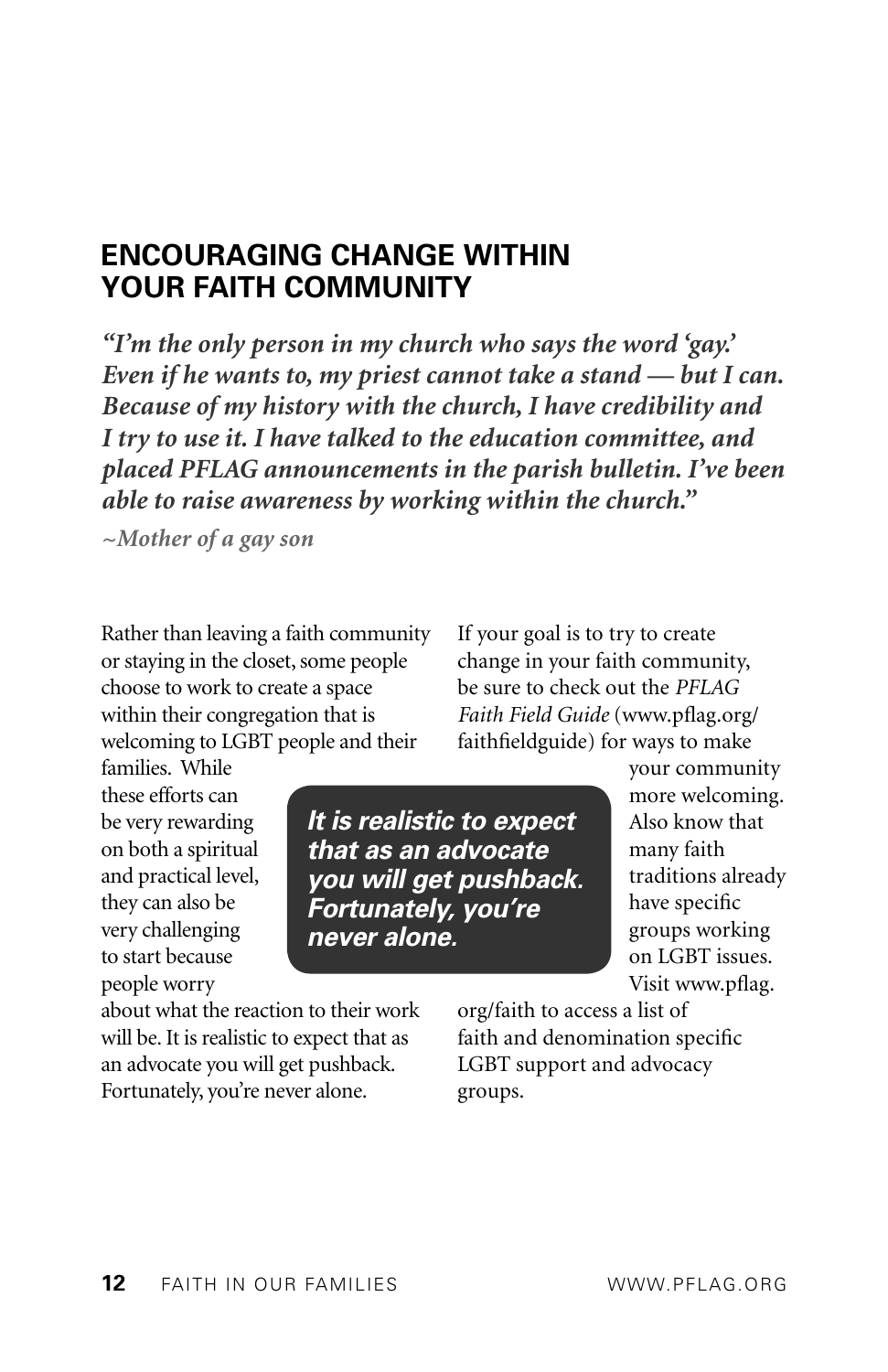#### **ENCOURAGING CHANGE WItHIN**  YOUR FAITH COMMUNITY

*"I'm the only person in my church who says the word 'gay.' Even if he wants to, my priest cannot take a stand — but I can. Because of my history with the church, I have credibility and I try to use it. I have talked to the education committee, and placed PFLAG announcements in the parish bulletin. I've been able to raise awareness by working within the church."*

*~Mother of a gay son*

Rather than leaving a faith community or staying in the closet, some people choose to work to create a space within their congregation that is welcoming to LGBT people and their

families. While these efforts can be very rewarding on both a spiritual and practical level, they can also be very challenging to start because people worry

*It is realistic to expect that as an advocate you will get pushback. Fortunately, you're never alone.*

If your goal is to try to create change in your faith community, be sure to check out the *PFLAG Faith Field Guide* (www.pflag.org/ faithfieldguide) for ways to make

> your community more welcoming. Also know that many faith traditions already have specific groups working on LGBT issues. Visit www.pflag.

about what the reaction to their work will be. It is realistic to expect that as an advocate you will get pushback. Fortunately, you're never alone.

org/faith to access a list of faith and denomination specific LGBT support and advocacy groups.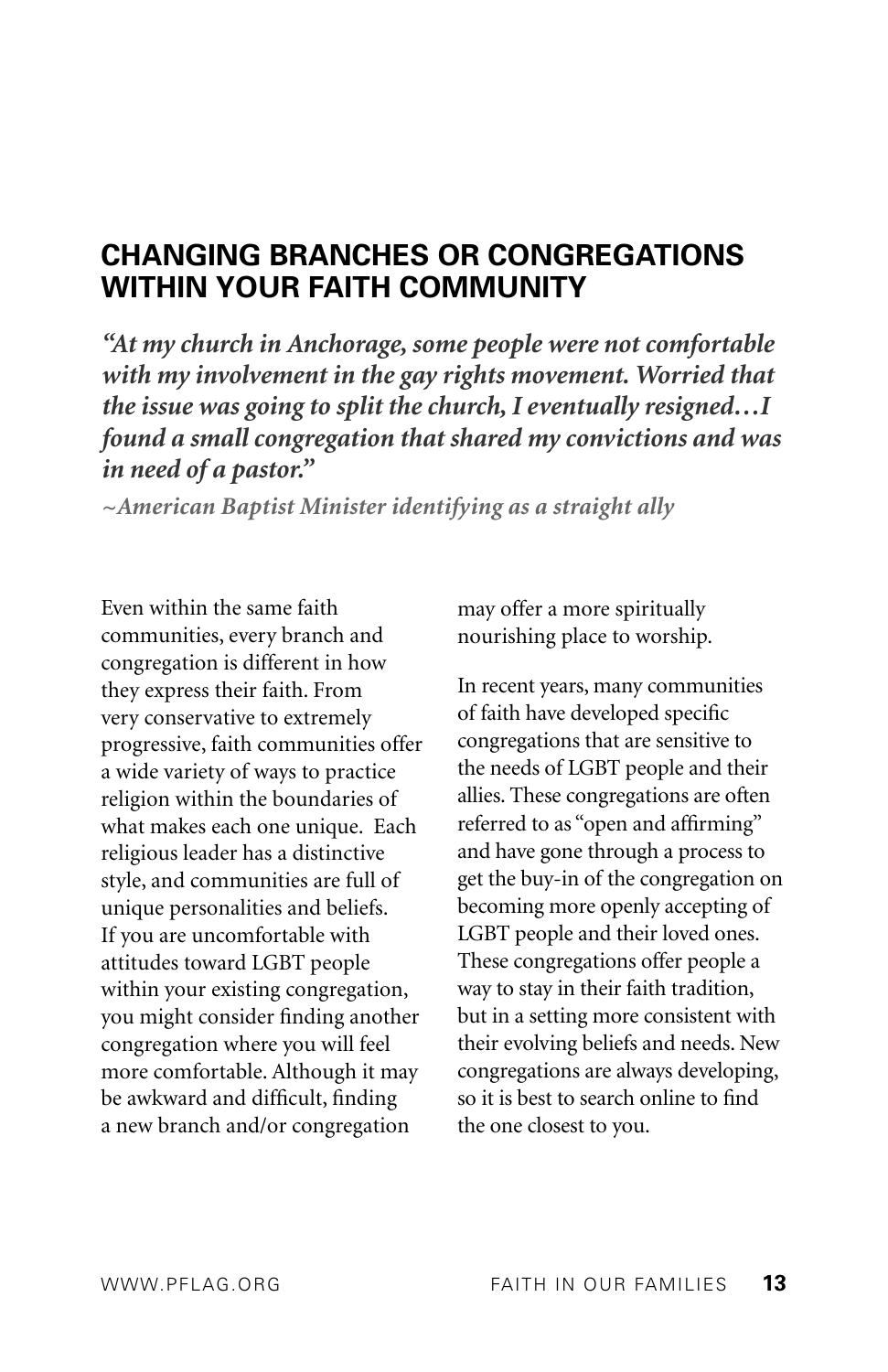#### **CHANGING BRANCHES OR CONGREGATIONS WITHIN YOuR FAITH COmmuNITY**

*"At my church in Anchorage, some people were not comfortable with my involvement in the gay rights movement. Worried that the issue was going to split the church, I eventually resigned…I found a small congregation that shared my convictions and was in need of a pastor."*

*~American Baptist Minister identifying as a straight ally*

Even within the same faith communities, every branch and congregation is different in how they express their faith. From very conservative to extremely progressive, faith communities offer a wide variety of ways to practice religion within the boundaries of what makes each one unique. Each religious leader has a distinctive style, and communities are full of unique personalities and beliefs. If you are uncomfortable with attitudes toward LGBT people within your existing congregation, you might consider finding another congregation where you will feel more comfortable. Although it may be awkward and difficult, finding a new branch and/or congregation

may offer a more spiritually nourishing place to worship.

In recent years, many communities of faith have developed specific congregations that are sensitive to the needs of LGBT people and their allies. These congregations are often referred to as "open and affirming" and have gone through a process to get the buy-in of the congregation on becoming more openly accepting of LGBT people and their loved ones. These congregations offer people a way to stay in their faith tradition, but in a setting more consistent with their evolving beliefs and needs. New congregations are always developing, so it is best to search online to find the one closest to you.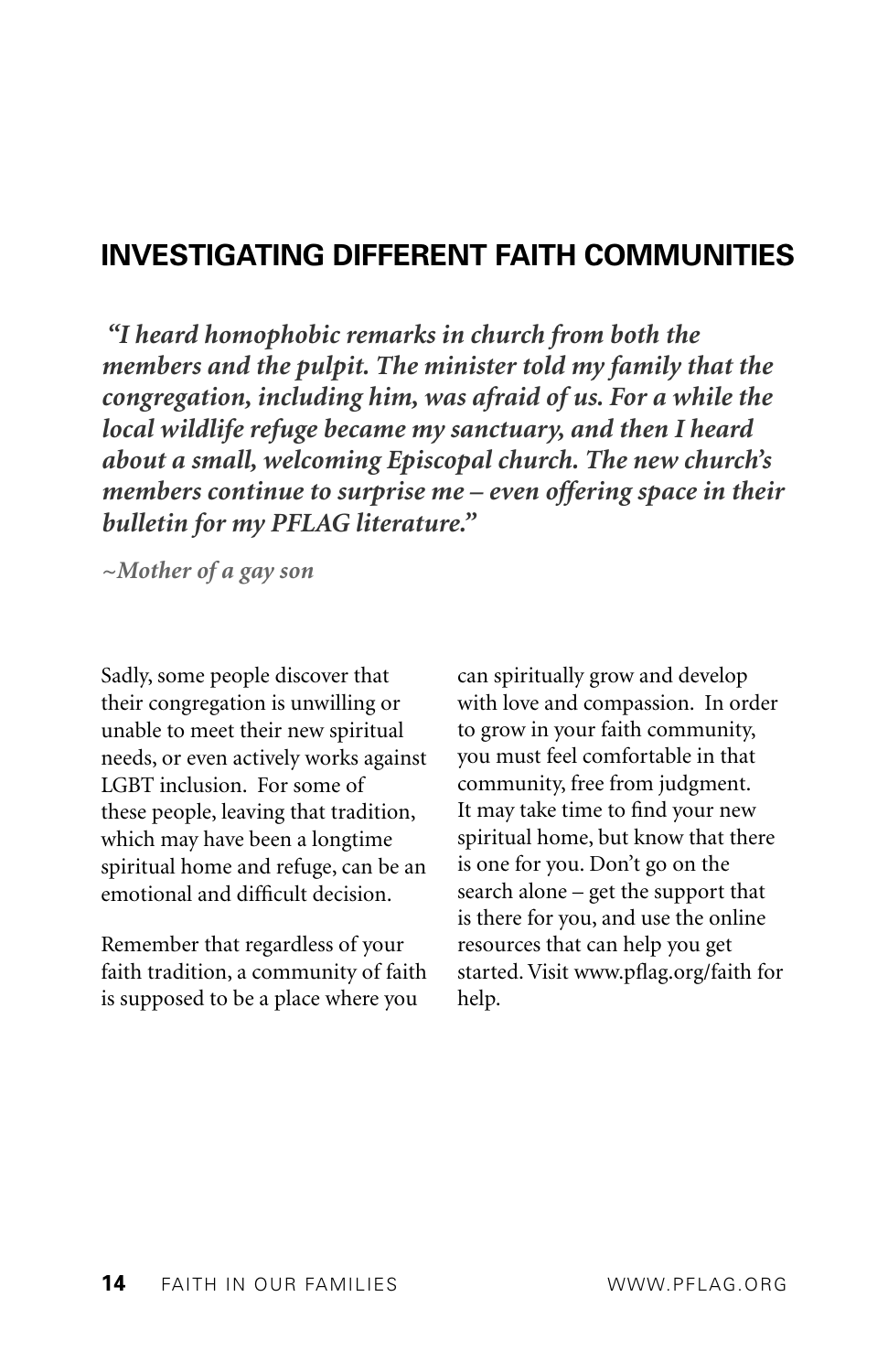#### **INVESTIGATING DIFFERENT FAITh CommuNITIES**

 *"I heard homophobic remarks in church from both the members and the pulpit. The minister told my family that the congregation, including him, was afraid of us. For a while the local wildlife refuge became my sanctuary, and then I heard about a small, welcoming Episcopal church. The new church's members continue to surprise me – even offering space in their bulletin for my PFLAG literature."*

*~Mother of a gay son*

Sadly, some people discover that their congregation is unwilling or unable to meet their new spiritual needs, or even actively works against LGBT inclusion. For some of these people, leaving that tradition, which may have been a longtime spiritual home and refuge, can be an emotional and difficult decision.

Remember that regardless of your faith tradition, a community of faith is supposed to be a place where you

can spiritually grow and develop with love and compassion. In order to grow in your faith community, you must feel comfortable in that community, free from judgment. It may take time to find your new spiritual home, but know that there is one for you. Don't go on the search alone – get the support that is there for you, and use the online resources that can help you get started. Visit www.pflag.org/faith for help.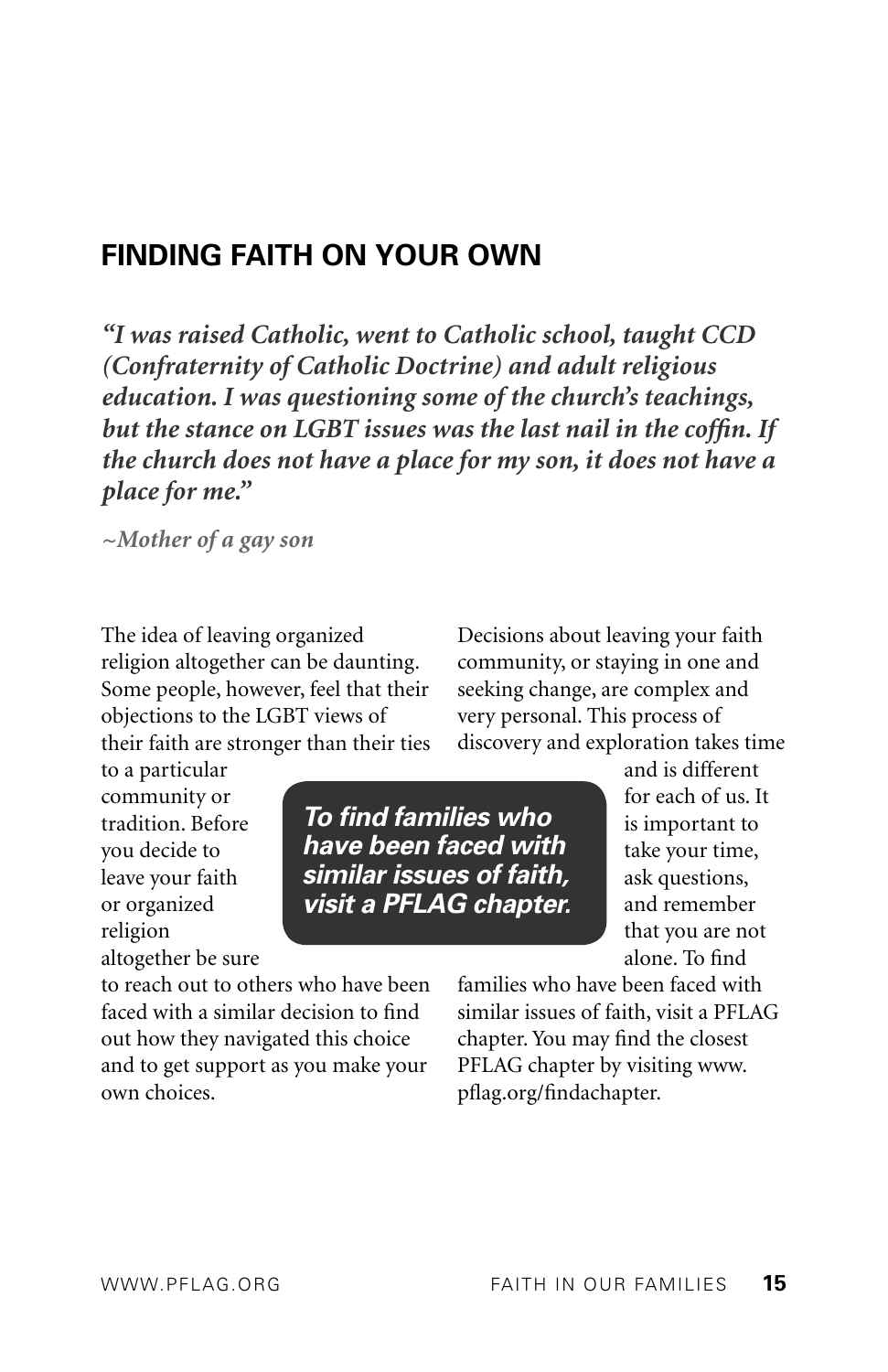#### **FINDING FAITH ON YOUR OWN**

*"I was raised Catholic, went to Catholic school, taught CCD (Confraternity of Catholic Doctrine) and adult religious education. I was questioning some of the church's teachings, but the stance on LGBT issues was the last nail in the coffin. If the church does not have a place for my son, it does not have a place for me."*

*~Mother of a gay son*

The idea of leaving organized religion altogether can be daunting. Some people, however, feel that their objections to the LGBT views of their faith are stronger than their ties

to a particular community or tradition. Before you decide to leave your faith or organized religion altogether be sure

*To find families who have been faced with similar issues of faith, visit a PFLAG chapter.*

to reach out to others who have been faced with a similar decision to find out how they navigated this choice and to get support as you make your own choices.

Decisions about leaving your faith community, or staying in one and seeking change, are complex and very personal. This process of discovery and exploration takes time

> for each of us. It is important to take your time, ask questions, and remember that you are not alone. To find

and is different

families who have been faced with similar issues of faith, visit a PFLAG chapter. You may find the closest PFLAG chapter by visiting www. pflag.org/findachapter.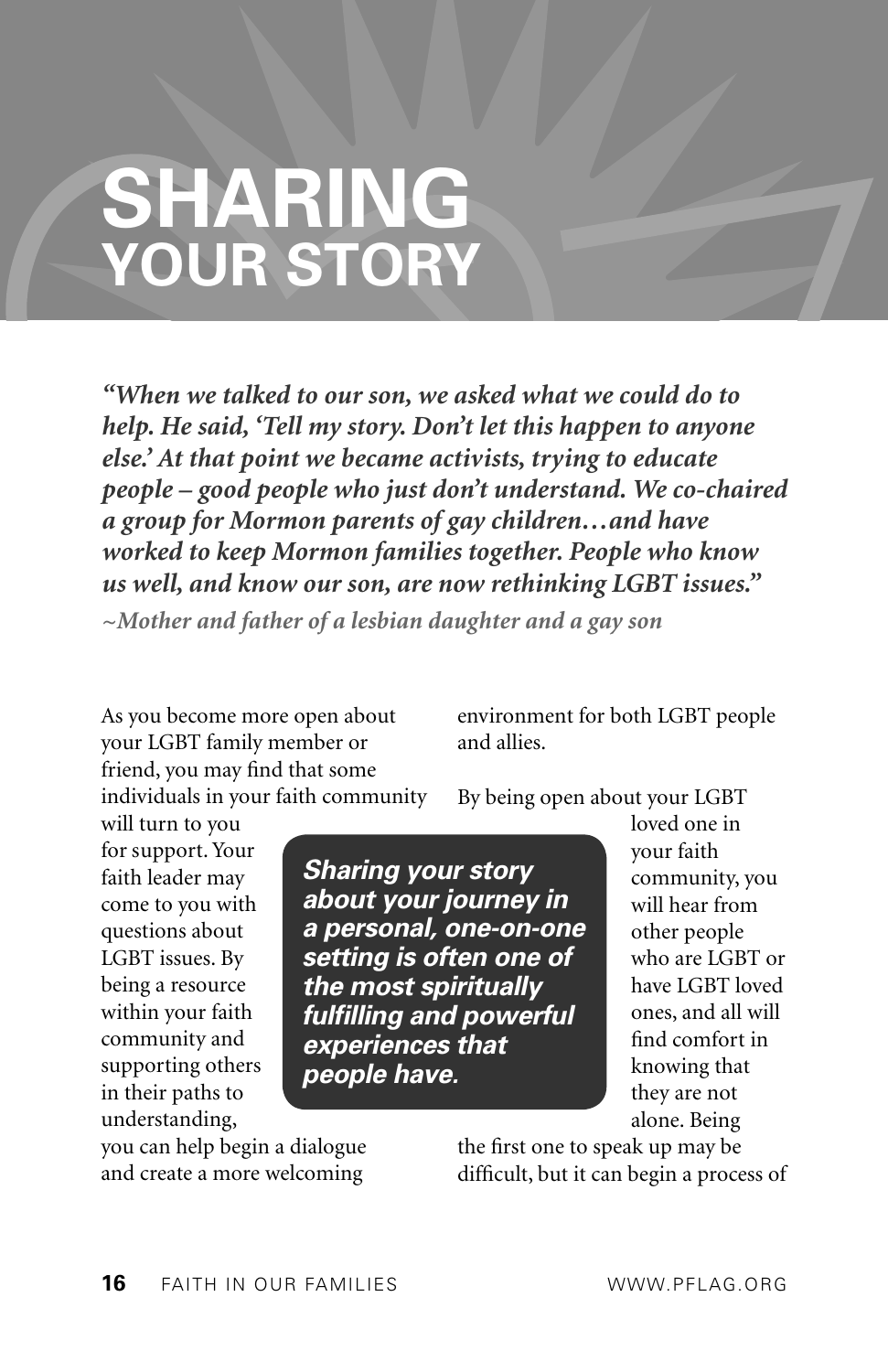### **SHARING YOUR STORY**

*"When we talked to our son, we asked what we could do to help. He said, 'Tell my story. Don't let this happen to anyone else.' At that point we became activists, trying to educate people – good people who just don't understand. We co-chaired a group for Mormon parents of gay children…and have worked to keep Mormon families together. People who know us well, and know our son, are now rethinking LGBT issues."*

*~Mother and father of a lesbian daughter and a gay son*

As you become more open about your LGBT family member or friend, you may find that some individuals in your faith community environment for both LGBT people and allies.

By being open about your LGBT

will turn to you for support. Your faith leader may come to you with questions about LGBT issues. By being a resource within your faith community and supporting others in their paths to understanding,

*Sharing your story about your journey in a personal, one-on-one setting is often one of the most spiritually fulfilling and powerful experiences that people have.*

loved one in your faith community, you will hear from other people who are LGBT or have LGBT loved ones, and all will find comfort in knowing that they are not alone. Being

you can help begin a dialogue and create a more welcoming

the first one to speak up may be difficult, but it can begin a process of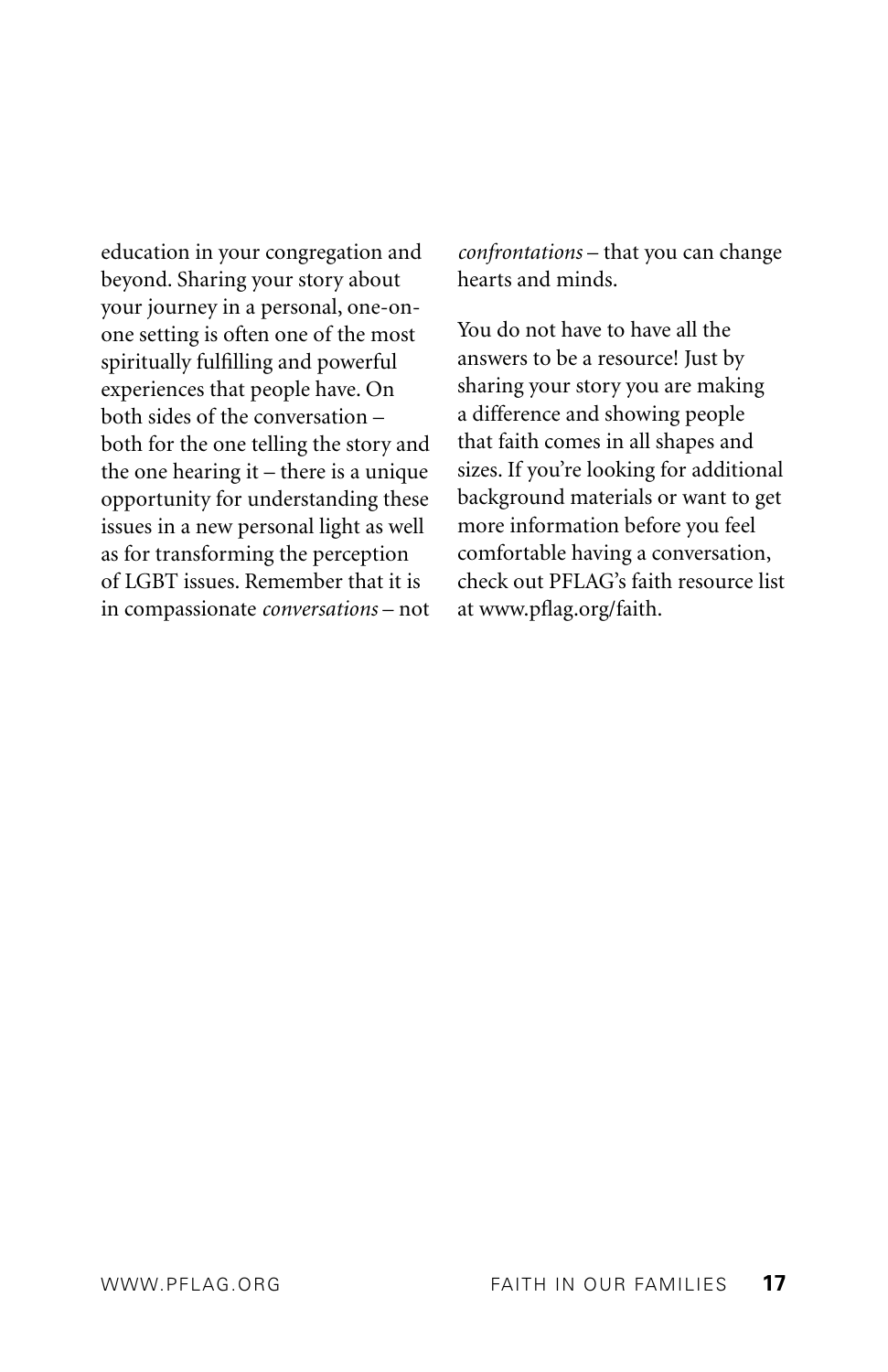education in your congregation and beyond. Sharing your story about your journey in a personal, one-onone setting is often one of the most spiritually fulfilling and powerful experiences that people have. On both sides of the conversation – both for the one telling the story and the one hearing it – there is a unique opportunity for understanding these issues in a new personal light as well as for transforming the perception of LGBT issues. Remember that it is in compassionate *conversations* – not *confrontations* – that you can change hearts and minds.

You do not have to have all the answers to be a resource! Just by sharing your story you are making a difference and showing people that faith comes in all shapes and sizes. If you're looking for additional background materials or want to get more information before you feel comfortable having a conversation, check out PFLAG's faith resource list at www.pflag.org/faith.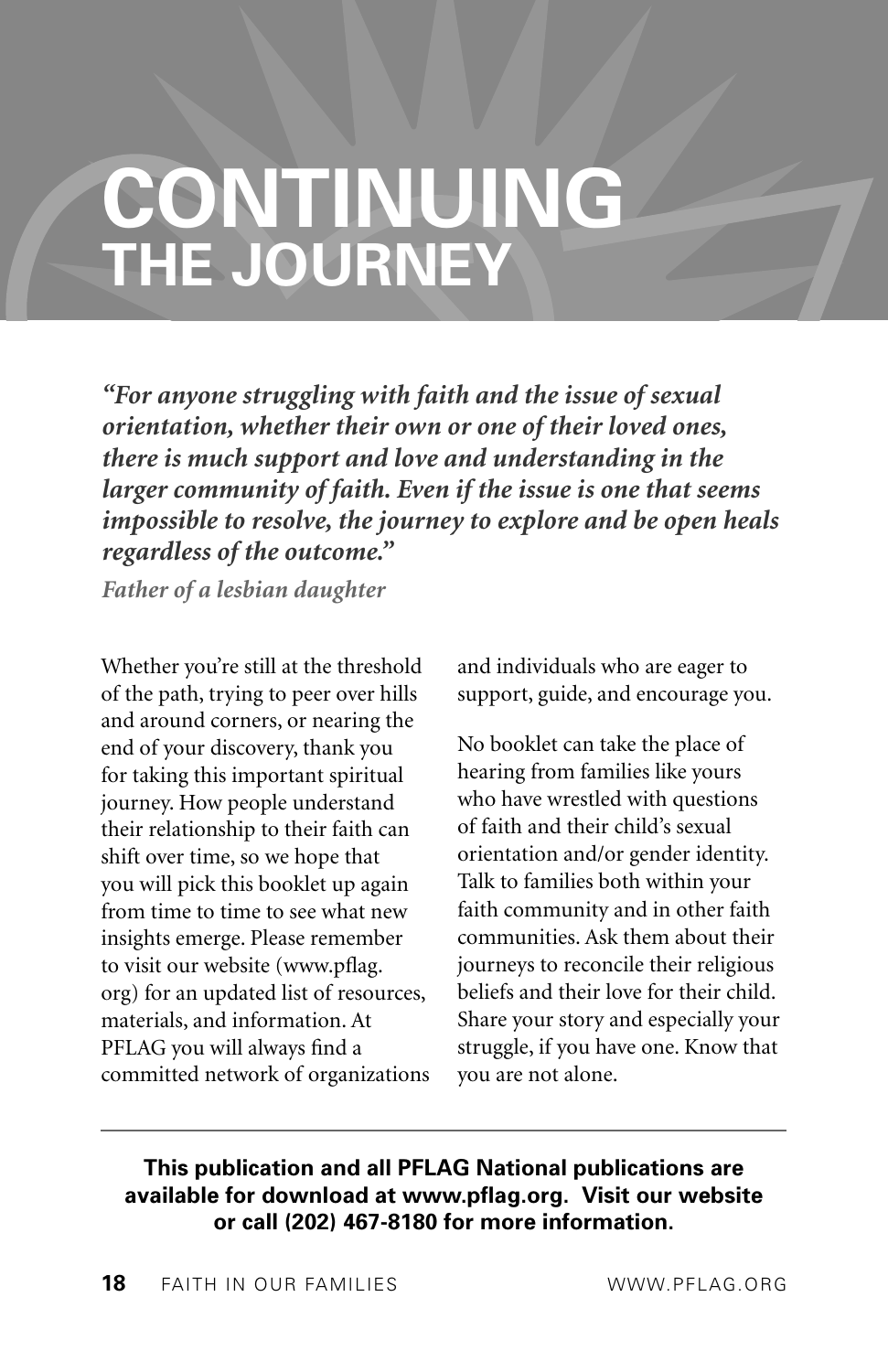### **CONTINUING THE JOURNEY**

*"For anyone struggling with faith and the issue of sexual orientation, whether their own or one of their loved ones, there is much support and love and understanding in the larger community of faith. Even if the issue is one that seems impossible to resolve, the journey to explore and be open heals regardless of the outcome."*

*Father of a lesbian daughter*

Whether you're still at the threshold of the path, trying to peer over hills and around corners, or nearing the end of your discovery, thank you for taking this important spiritual journey. How people understand their relationship to their faith can shift over time, so we hope that you will pick this booklet up again from time to time to see what new insights emerge. Please remember to visit our website (www.pflag. org) for an updated list of resources, materials, and information. At PFLAG you will always find a committed network of organizations and individuals who are eager to support, guide, and encourage you.

No booklet can take the place of hearing from families like yours who have wrestled with questions of faith and their child's sexual orientation and/or gender identity. Talk to families both within your faith community and in other faith communities. Ask them about their journeys to reconcile their religious beliefs and their love for their child. Share your story and especially your struggle, if you have one. Know that you are not alone.

#### **This publication and all PFLAG National publications are available for download at www.pflag.org. Visit our website or call (202) 467-8180 for more information.**